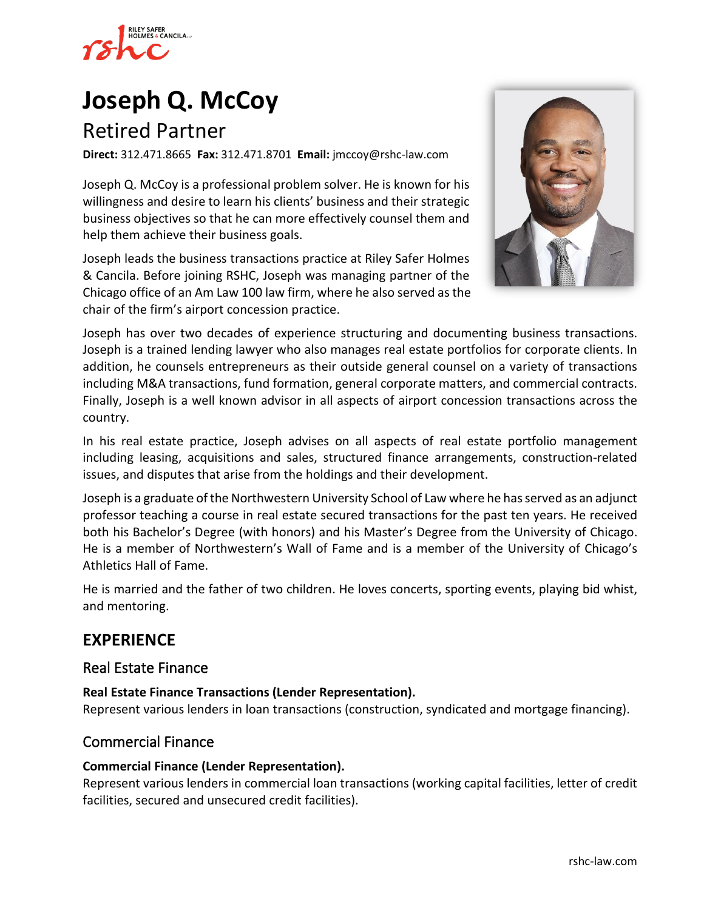

## **[Joseph Q. McCoy](https://www.rshc-law.com/attorneys/attorney/joseph-q.-mccoy)**

## Retired Partner

**Direct:** 312.471.8665 **Fax:** 312.471.8701 **Email:** jmccoy@rshc-law.com

Joseph Q. McCoy is a professional problem solver. He is known for his willingness and desire to learn his clients' business and their strategic business objectives so that he can more effectively counsel them and help them achieve their business goals.

Joseph leads the business transactions practice at Riley Safer Holmes & Cancila. Before joining RSHC, Joseph was managing partner of the Chicago office of an Am Law 100 law firm, where he also served as the chair of the firm's airport concession practice.



Joseph has over two decades of experience structuring and documenting business transactions. Joseph is a trained lending lawyer who also manages real estate portfolios for corporate clients. In addition, he counsels entrepreneurs as their outside general counsel on a variety of transactions including M&A transactions, fund formation, general corporate matters, and commercial contracts. Finally, Joseph is a well known advisor in all aspects of airport concession transactions across the country.

In his real estate practice, Joseph advises on all aspects of real estate portfolio management including leasing, acquisitions and sales, structured finance arrangements, construction-related issues, and disputes that arise from the holdings and their development.

Joseph is a graduate of the Northwestern University School of Law where he has served as an adjunct professor teaching a course in real estate secured transactions for the past ten years. He received both his Bachelor's Degree (with honors) and his Master's Degree from the University of Chicago. He is a member of Northwestern's Wall of Fame and is a member of the University of Chicago's Athletics Hall of Fame.

He is married and the father of two children. He loves concerts, sporting events, playing bid whist, and mentoring.

## **EXPERIENCE**

#### Real Estate Finance

**Real Estate Finance Transactions (Lender Representation).**

Represent various lenders in loan transactions (construction, syndicated and mortgage financing).

#### Commercial Finance

#### **Commercial Finance (Lender Representation).**

Represent various lenders in commercial loan transactions (working capital facilities, letter of credit facilities, secured and unsecured credit facilities).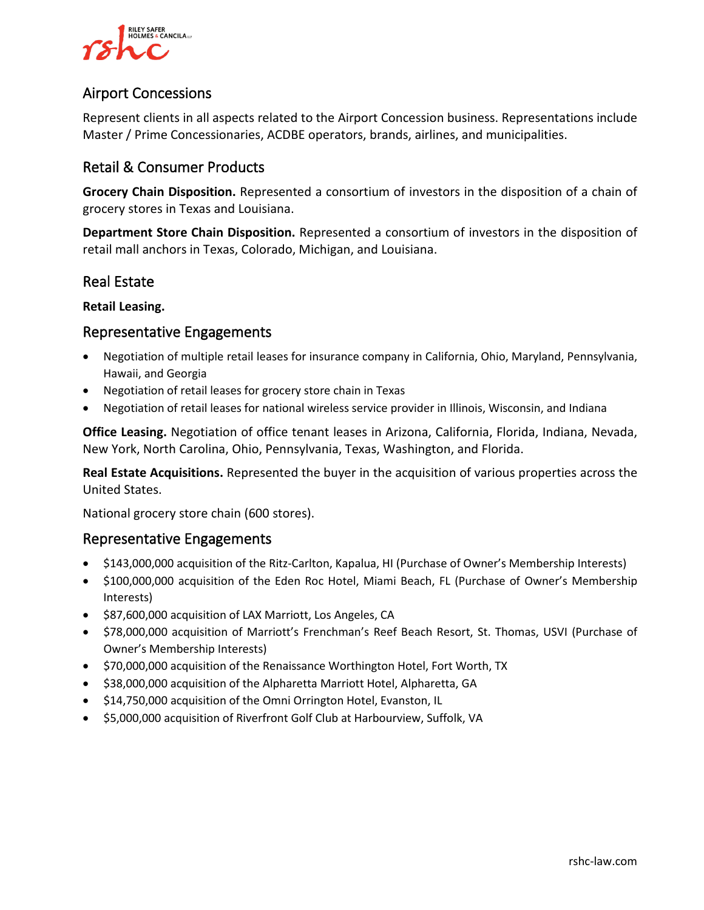

#### Airport Concessions

Represent clients in all aspects related to the Airport Concession business. Representations include Master / Prime Concessionaries, ACDBE operators, brands, airlines, and municipalities.

#### Retail & Consumer Products

**Grocery Chain Disposition.** Represented a consortium of investors in the disposition of a chain of grocery stores in Texas and Louisiana.

**Department Store Chain Disposition.** Represented a consortium of investors in the disposition of retail mall anchors in Texas, Colorado, Michigan, and Louisiana.

#### Real Estate

#### **Retail Leasing.**

#### Representative Engagements

- Negotiation of multiple retail leases for insurance company in California, Ohio, Maryland, Pennsylvania, Hawaii, and Georgia
- Negotiation of retail leases for grocery store chain in Texas
- Negotiation of retail leases for national wireless service provider in Illinois, Wisconsin, and Indiana

**Office Leasing.** Negotiation of office tenant leases in Arizona, California, Florida, Indiana, Nevada, New York, North Carolina, Ohio, Pennsylvania, Texas, Washington, and Florida.

**Real Estate Acquisitions.** Represented the buyer in the acquisition of various properties across the United States.

National grocery store chain (600 stores).

#### Representative Engagements

- \$143,000,000 acquisition of the Ritz-Carlton, Kapalua, HI (Purchase of Owner's Membership Interests)
- \$100,000,000 acquisition of the Eden Roc Hotel, Miami Beach, FL (Purchase of Owner's Membership Interests)
- \$87,600,000 acquisition of LAX Marriott, Los Angeles, CA
- \$78,000,000 acquisition of Marriott's Frenchman's Reef Beach Resort, St. Thomas, USVI (Purchase of Owner's Membership Interests)
- \$70,000,000 acquisition of the Renaissance Worthington Hotel, Fort Worth, TX
- \$38,000,000 acquisition of the Alpharetta Marriott Hotel, Alpharetta, GA
- \$14,750,000 acquisition of the Omni Orrington Hotel, Evanston, IL
- \$5,000,000 acquisition of Riverfront Golf Club at Harbourview, Suffolk, VA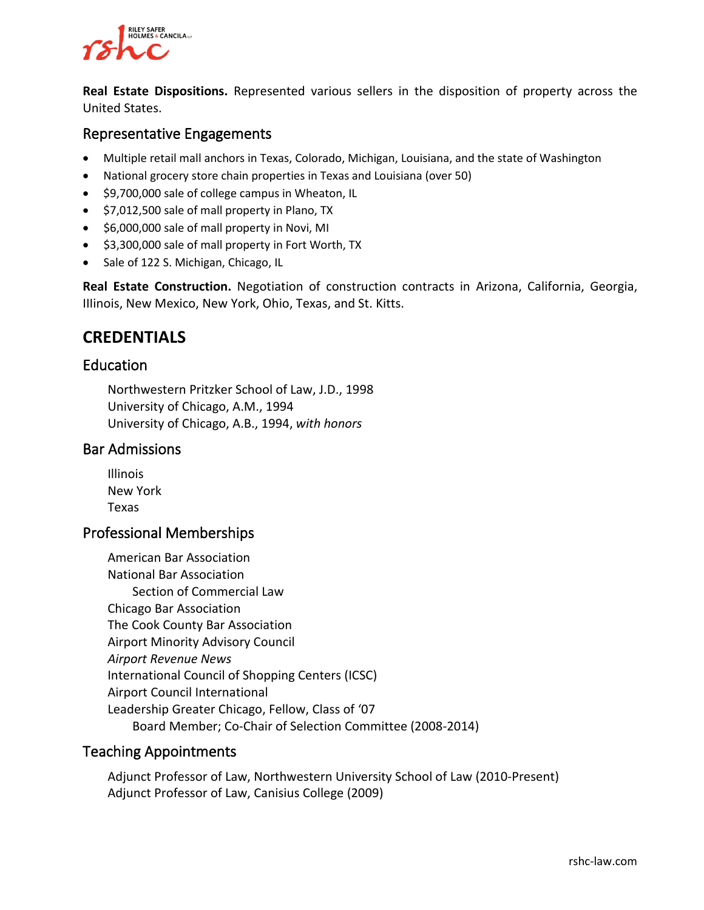## **RILEY SAFER HOLMES & CANCILALLE**

**Real Estate Dispositions.** Represented various sellers in the disposition of property across the United States.

#### Representative Engagements

- Multiple retail mall anchors in Texas, Colorado, Michigan, Louisiana, and the state of Washington
- National grocery store chain properties in Texas and Louisiana (over 50)
- \$9,700,000 sale of college campus in Wheaton, IL
- \$7,012,500 sale of mall property in Plano, TX
- \$6,000,000 sale of mall property in Novi, MI
- \$3,300,000 sale of mall property in Fort Worth, TX
- Sale of 122 S. Michigan, Chicago, IL

**Real Estate Construction.** Negotiation of construction contracts in Arizona, California, Georgia, IIIinois, New Mexico, New York, Ohio, Texas, and St. Kitts.

## **CREDENTIALS**

#### Education

Northwestern Pritzker School of Law, J.D., 1998 University of Chicago, A.M., 1994 University of Chicago, A.B., 1994, *with honors*

#### Bar Admissions

Illinois New York Texas

#### Professional Memberships

American Bar Association National Bar Association Section of Commercial Law Chicago Bar Association The Cook County Bar Association Airport Minority Advisory Council *Airport Revenue News* International Council of Shopping Centers (ICSC) Airport Council International Leadership Greater Chicago, Fellow, Class of '07 Board Member; Co-Chair of Selection Committee (2008-2014)

#### Teaching Appointments

Adjunct Professor of Law, Northwestern University School of Law (2010-Present) Adjunct Professor of Law, Canisius College (2009)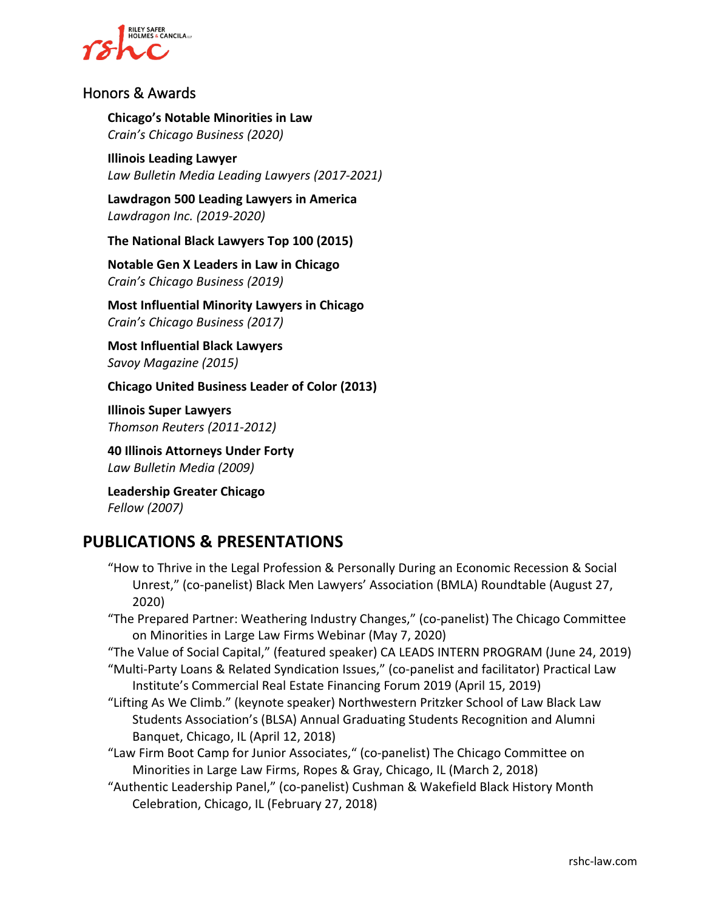

#### Honors & Awards

**Chicago's Notable Minorities in Law** *Crain's Chicago Business (2020)*

**Illinois Leading Lawyer** *Law Bulletin Media Leading Lawyers (2017-2021)*

**Lawdragon 500 Leading Lawyers in America** *Lawdragon Inc. (2019-2020)*

**The National Black Lawyers Top 100 (2015)**

**Notable Gen X Leaders in Law in Chicago** *Crain's Chicago Business (2019)*

**Most Influential Minority Lawyers in Chicago** *Crain's Chicago Business (2017)*

**Most Influential Black Lawyers** *Savoy Magazine (2015)*

**Chicago United Business Leader of Color (2013)**

**Illinois Super Lawyers** *Thomson Reuters (2011-2012)*

**40 Illinois Attorneys Under Forty** *Law Bulletin Media (2009)*

**Leadership Greater Chicago** *Fellow (2007)*

## **PUBLICATIONS & PRESENTATIONS**

- "How to Thrive in the Legal Profession & Personally During an Economic Recession & Social Unrest," (co-panelist) Black Men Lawyers' Association (BMLA) Roundtable (August 27, 2020)
- "The Prepared Partner: Weathering Industry Changes," (co-panelist) The Chicago Committee on Minorities in Large Law Firms Webinar (May 7, 2020)

"The Value of Social Capital," (featured speaker) CA LEADS INTERN PROGRAM (June 24, 2019) "Multi-Party Loans & Related Syndication Issues," (co-panelist and facilitator) Practical Law

- Institute's Commercial Real Estate Financing Forum 2019 (April 15, 2019)
- "Lifting As We Climb." (keynote speaker) Northwestern Pritzker School of Law Black Law Students Association's (BLSA) Annual Graduating Students Recognition and Alumni Banquet, Chicago, IL (April 12, 2018)
- "Law Firm Boot Camp for Junior Associates," (co-panelist) The Chicago Committee on Minorities in Large Law Firms, Ropes & Gray, Chicago, IL (March 2, 2018)
- "Authentic Leadership Panel," (co-panelist) Cushman & Wakefield Black History Month Celebration, Chicago, IL (February 27, 2018)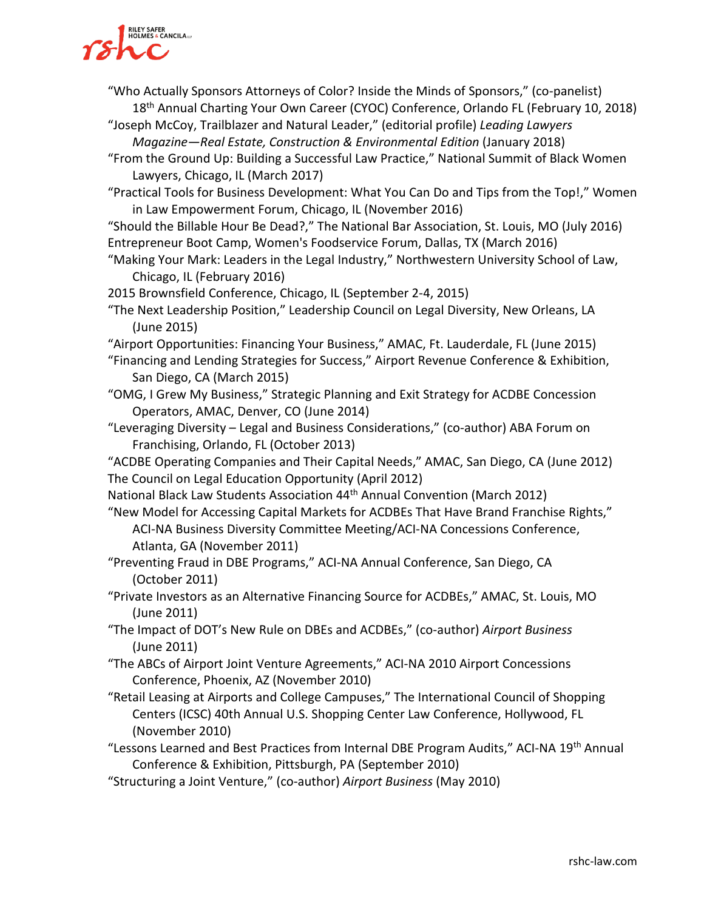# **RILEY SAFER<br>HOLMES & CANCILA**

- "Who Actually Sponsors Attorneys of Color? Inside the Minds of Sponsors," (co-panelist) 18<sup>th</sup> Annual Charting Your Own Career (CYOC) Conference, Orlando FL (February 10, 2018)
- "Joseph McCoy, Trailblazer and Natural Leader," (editorial profile) *Leading Lawyers Magazine—Real Estate, Construction & Environmental Edition* (January 2018)
- "From the Ground Up: Building a Successful Law Practice," National Summit of Black Women Lawyers, Chicago, IL (March 2017)
- "Practical Tools for Business Development: What You Can Do and Tips from the Top!," Women in Law Empowerment Forum, Chicago, IL (November 2016)
- "Should the Billable Hour Be Dead?," The National Bar Association, St. Louis, MO (July 2016) Entrepreneur Boot Camp, Women's Foodservice Forum, Dallas, TX (March 2016)
- "Making Your Mark: Leaders in the Legal Industry," Northwestern University School of Law, Chicago, IL (February 2016)
- 2015 Brownsfield Conference, Chicago, IL (September 2-4, 2015)
- "The Next Leadership Position," Leadership Council on Legal Diversity, New Orleans, LA (June 2015)
- "Airport Opportunities: Financing Your Business," AMAC, Ft. Lauderdale, FL (June 2015)
- "Financing and Lending Strategies for Success," Airport Revenue Conference & Exhibition, San Diego, CA (March 2015)
- "OMG, I Grew My Business," Strategic Planning and Exit Strategy for ACDBE Concession Operators, AMAC, Denver, CO (June 2014)
- "Leveraging Diversity Legal and Business Considerations," (co-author) ABA Forum on Franchising, Orlando, FL (October 2013)

"ACDBE Operating Companies and Their Capital Needs," AMAC, San Diego, CA (June 2012) The Council on Legal Education Opportunity (April 2012)

National Black Law Students Association 44<sup>th</sup> Annual Convention (March 2012)

"New Model for Accessing Capital Markets for ACDBEs That Have Brand Franchise Rights," ACI-NA Business Diversity Committee Meeting/ACI-NA Concessions Conference, Atlanta, GA (November 2011)

- "Preventing Fraud in DBE Programs," ACI-NA Annual Conference, San Diego, CA (October 2011)
- "Private Investors as an Alternative Financing Source for ACDBEs," AMAC, St. Louis, MO (June 2011)
- "The Impact of DOT's New Rule on DBEs and ACDBEs," (co-author) *Airport Business*  (June 2011)
- "The ABCs of Airport Joint Venture Agreements," ACI-NA 2010 Airport Concessions Conference, Phoenix, AZ (November 2010)
- "Retail Leasing at Airports and College Campuses," The International Council of Shopping Centers (ICSC) 40th Annual U.S. Shopping Center Law Conference, Hollywood, FL (November 2010)
- "Lessons Learned and Best Practices from Internal DBE Program Audits," ACI-NA 19th Annual Conference & Exhibition, Pittsburgh, PA (September 2010)
- "Structuring a Joint Venture," (co-author) *Airport Business* (May 2010)